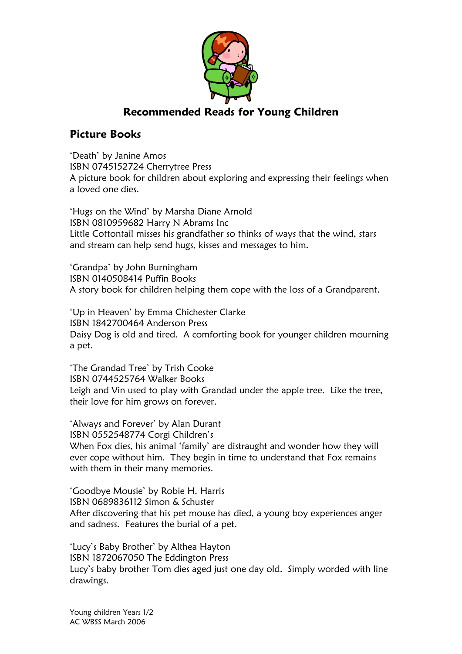

## Recommended Reads for Young Children

## Picture Books

'Death' by Janine Amos ISBN 0745152724 Cherrytree Press A picture book for children about exploring and expressing their feelings when a loved one dies.

'Hugs on the Wind' by Marsha Diane Arnold ISBN 0810959682 Harry N Abrams Inc Little Cottontail misses his grandfather so thinks of ways that the wind, stars and stream can help send hugs, kisses and messages to him.

'Grandpa' by John Burningham ISBN 0140508414 Puffin Books A story book for children helping them cope with the loss of a Grandparent.

'Up in Heaven' by Emma Chichester Clarke ISBN 1842700464 Anderson Press Daisy Dog is old and tired. A comforting book for younger children mourning a pet.

'The Grandad Tree' by Trish Cooke ISBN 0744525764 Walker Books Leigh and Vin used to play with Grandad under the apple tree. Like the tree, their love for him grows on forever.

'Always and Forever' by Alan Durant ISBN 0552548774 Corgi Children's When Fox dies, his animal 'family' are distraught and wonder how they will ever cope without him. They begin in time to understand that Fox remains with them in their many memories.

'Goodbye Mousie' by Robie H. Harris ISBN 0689836112 Simon & Schuster After discovering that his pet mouse has died, a young boy experiences anger and sadness. Features the burial of a pet.

'Lucy's Baby Brother' by Althea Hayton ISBN 1872067050 The Eddington Press Lucy's baby brother Tom dies aged just one day old. Simply worded with line drawings.